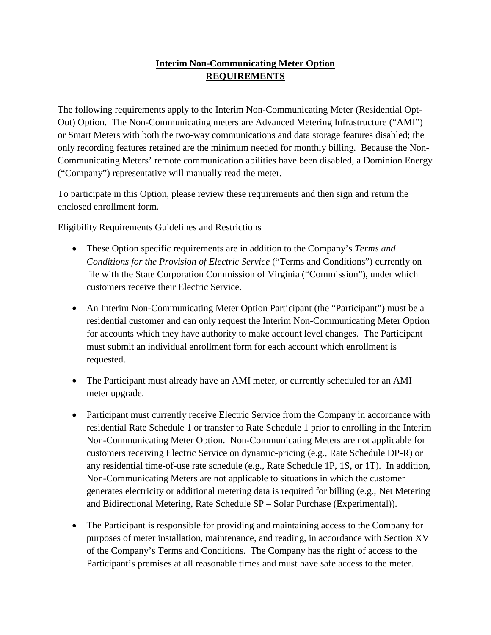## **Interim Non-Communicating Meter Option REQUIREMENTS**

The following requirements apply to the Interim Non-Communicating Meter (Residential Opt-Out) Option. The Non-Communicating meters are Advanced Metering Infrastructure ("AMI") or Smart Meters with both the two-way communications and data storage features disabled; the only recording features retained are the minimum needed for monthly billing. Because the Non-Communicating Meters' remote communication abilities have been disabled, a Dominion Energy ("Company") representative will manually read the meter.

To participate in this Option, please review these requirements and then sign and return the enclosed enrollment form.

Eligibility Requirements Guidelines and Restrictions

- These Option specific requirements are in addition to the Company's *Terms and Conditions for the Provision of Electric Service* ("Terms and Conditions") currently on file with the State Corporation Commission of Virginia ("Commission"), under which customers receive their Electric Service.
- An Interim Non-Communicating Meter Option Participant (the "Participant") must be a residential customer and can only request the Interim Non-Communicating Meter Option for accounts which they have authority to make account level changes. The Participant must submit an individual enrollment form for each account which enrollment is requested.
- The Participant must already have an AMI meter, or currently scheduled for an AMI meter upgrade.
- Participant must currently receive Electric Service from the Company in accordance with residential Rate Schedule 1 or transfer to Rate Schedule 1 prior to enrolling in the Interim Non-Communicating Meter Option. Non-Communicating Meters are not applicable for customers receiving Electric Service on dynamic-pricing (e.g., Rate Schedule DP-R) or any residential time-of-use rate schedule (e.g., Rate Schedule 1P, 1S, or 1T). In addition, Non-Communicating Meters are not applicable to situations in which the customer generates electricity or additional metering data is required for billing (e.g., Net Metering and Bidirectional Metering, Rate Schedule SP – Solar Purchase (Experimental)).
- The Participant is responsible for providing and maintaining access to the Company for purposes of meter installation, maintenance, and reading, in accordance with Section XV of the Company's Terms and Conditions. The Company has the right of access to the Participant's premises at all reasonable times and must have safe access to the meter.